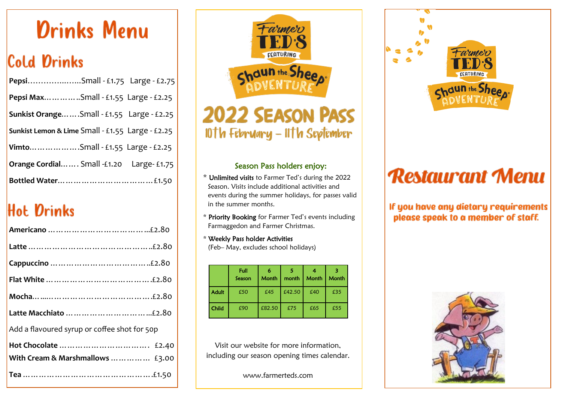# **Drinks Menu**

# **Cold Drinks**

| Pepsi MaxSmall - £1.55 Large - £2.25             |  |
|--------------------------------------------------|--|
| Sunkist OrangeSmall - £1.55 Large - £2.25        |  |
| Sunkist Lemon & Lime Small - £1.55 Large - £2.25 |  |
| VimtoSmall - £1.55 Large - £2.25                 |  |
| Orange Cordial Small -£1.20 Large- £1.75         |  |
|                                                  |  |

# **Hot Drinks**

| Add a flavoured syrup or coffee shot for 50p |
|----------------------------------------------|
|                                              |
| With Cream & Marshmallows  £3.00             |
|                                              |



## **2022 SEASON PASS** 10th February - 11th September

#### Season Pass holders enjoy:

- \* Unlimited visits to Farmer Ted's during the 2022 Season. Visits include additional activities and events during the summer holidays, for passes valid in the summer months.
- \* Priority Booking for Farmer Ted's events including Farmaggedon and Farmer Christmas.
- \* Weekly Pass holder Activities (Feb– May, excludes school holidays)

|              | Full<br>Season | 6<br><b>Month</b> | 5<br>month | <b>Month</b> | Month |
|--------------|----------------|-------------------|------------|--------------|-------|
| <b>Adult</b> | £50            | £45               | £42.50     | £40          | £35   |
| Child        | £90            | £82.50            | £75        | £65          | £55   |

Visit our website for more information, including our season opening times calendar.

www.farmerteds.com



# **Restaurant Menu**

If you have any dietary requirements please speak to a member of staff.